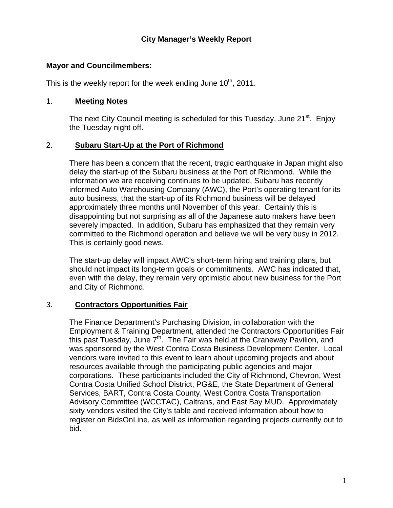#### **Mayor and Councilmembers:**

This is the weekly report for the week ending June  $10<sup>th</sup>$ , 2011.

#### 1. **Meeting Notes**

The next City Council meeting is scheduled for this Tuesday, June 21<sup>st</sup>. Enjoy the Tuesday night off.

## 2. **Subaru Start-Up at the Port of Richmond**

There has been a concern that the recent, tragic earthquake in Japan might also delay the start-up of the Subaru business at the Port of Richmond. While the information we are receiving continues to be updated, Subaru has recently informed Auto Warehousing Company (AWC), the Port's operating tenant for its auto business, that the start-up of its Richmond business will be delayed approximately three months until November of this year. Certainly this is disappointing but not surprising as all of the Japanese auto makers have been severely impacted. In addition, Subaru has emphasized that they remain very committed to the Richmond operation and believe we will be very busy in 2012. This is certainly good news.

The start-up delay will impact AWC's short-term hiring and training plans, but should not impact its long-term goals or commitments. AWC has indicated that, even with the delay, they remain very optimistic about new business for the Port and City of Richmond.

## 3. **Contractors Opportunities Fair**

The Finance Department's Purchasing Division, in collaboration with the Employment & Training Department, attended the Contractors Opportunities Fair this past Tuesday, June  $7<sup>th</sup>$ . The Fair was held at the Craneway Pavilion, and was sponsored by the West Contra Costa Business Development Center. Local vendors were invited to this event to learn about upcoming projects and about resources available through the participating public agencies and major corporations. These participants included the City of Richmond, Chevron, West Contra Costa Unified School District, PG&E, the State Department of General Services, BART, Contra Costa County, West Contra Costa Transportation Advisory Committee (WCCTAC), Caltrans, and East Bay MUD. Approximately sixty vendors visited the City's table and received information about how to register on BidsOnLine, as well as information regarding projects currently out to bid.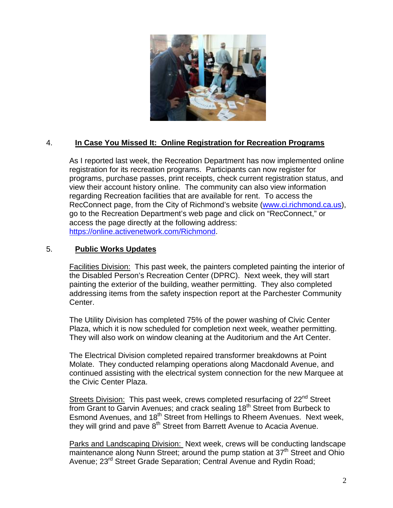

# 4. **In Case You Missed It: Online Registration for Recreation Programs**

As I reported last week, the Recreation Department has now implemented online registration for its recreation programs. Participants can now register for programs, purchase passes, print receipts, check current registration status, and view their account history online. The community can also view information regarding Recreation facilities that are available for rent. To access the RecConnect page, from the City of Richmond's website [\(www.ci.richmond.ca.us](http://www.ci.richmond.ca.us/)), go to the Recreation Department's web page and click on "RecConnect," or access the page directly at the following address: <https://online.activenetwork.com/Richmond>.

#### 5. **Public Works Updates**

Facilities Division: This past week, the painters completed painting the interior of the Disabled Person's Recreation Center (DPRC). Next week, they will start painting the exterior of the building, weather permitting. They also completed addressing items from the safety inspection report at the Parchester Community Center.

The Utility Division has completed 75% of the power washing of Civic Center Plaza, which it is now scheduled for completion next week, weather permitting. They will also work on window cleaning at the Auditorium and the Art Center.

The Electrical Division completed repaired transformer breakdowns at Point Molate. They conducted relamping operations along Macdonald Avenue, and continued assisting with the electrical system connection for the new Marquee at the Civic Center Plaza.

Streets Division: This past week, crews completed resurfacing of 22<sup>nd</sup> Street from Grant to Garvin Avenues; and crack sealing 18<sup>th</sup> Street from Burbeck to Esmond Avenues, and 18<sup>th</sup> Street from Hellings to Rheem Avenues. Next week, they will grind and pave 8<sup>th</sup> Street from Barrett Avenue to Acacia Avenue.

Parks and Landscaping Division: Next week, crews will be conducting landscape maintenance along Nunn Street; around the pump station at 37<sup>th</sup> Street and Ohio Avenue; 23<sup>rd</sup> Street Grade Separation; Central Avenue and Rydin Road;